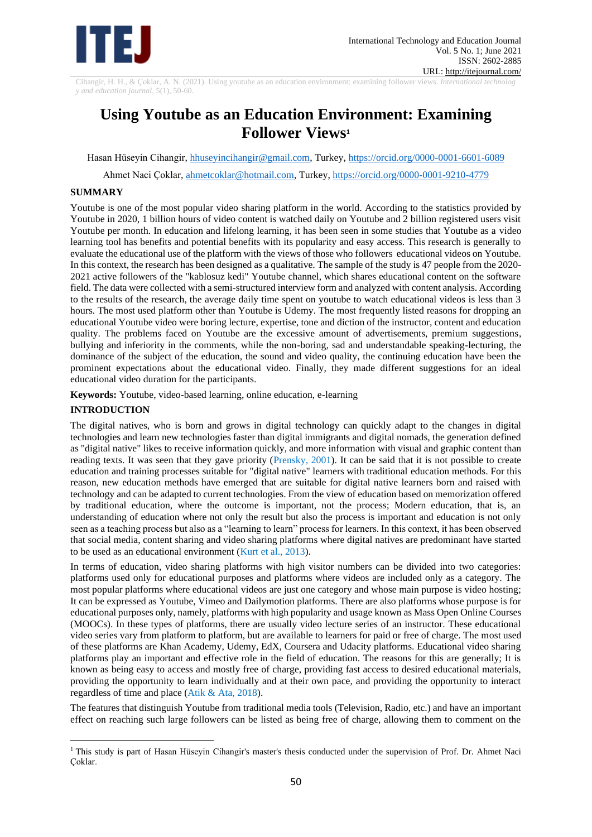

Cihangir, H. H., & Çoklar, A. N. (2021). Using youtube as an education environment: examining follower views. *International technolog y and education journal,* 5(1), 50-60.

# **Using Youtube as an Education Environment: Examining Follower Views<sup>1</sup>**

Hasan Hüseyin Cihangir, [hhuseyincihangir@gmail.com,](mailto:hhuseyincihangir@gmail.com) Turkey, https://orcid.org/0000-0001-6601-6089

Ahmet Naci Çoklar, [ahmetcoklar@hotmail.com,](mailto:ahmetcoklar@hotmail.com) Turkey[, https://orcid.org/0000-0001-9210-4779](https://orcid.org/0000-0001-9210-4779)

# **SUMMARY**

Youtube is one of the most popular video sharing platform in the world. According to the statistics provided by Youtube in 2020, 1 billion hours of video content is watched daily on Youtube and 2 billion registered users visit Youtube per month. In education and lifelong learning, it has been seen in some studies that Youtube as a video learning tool has benefits and potential benefits with its popularity and easy access. This research is generally to evaluate the educational use of the platform with the views of those who followers educational videos on Youtube. In this context, the research has been designed as a qualitative. The sample of the study is 47 people from the 2020- 2021 active followers of the "kablosuz kedi" Youtube channel, which shares educational content on the software field. The data were collected with a semi-structured interview form and analyzed with content analysis. According to the results of the research, the average daily time spent on youtube to watch educational videos is less than 3 hours. The most used platform other than Youtube is Udemy. The most frequently listed reasons for dropping an educational Youtube video were boring lecture, expertise, tone and diction of the instructor, content and education quality. The problems faced on Youtube are the excessive amount of advertisements, premium suggestions, bullying and inferiority in the comments, while the non-boring, sad and understandable speaking-lecturing, the dominance of the subject of the education, the sound and video quality, the continuing education have been the prominent expectations about the educational video. Finally, they made different suggestions for an ideal educational video duration for the participants.

**Keywords:** Youtube, video-based learning, online education, e-learning

# **INTRODUCTION**

The digital natives, who is born and grows in digital technology can quickly adapt to the changes in digital technologies and learn new technologies faster than digital immigrants and digital nomads, the generation defined as "digital native" likes to receive information quickly, and more information with visual and graphic content than reading texts. It was seen that they gave priority (Prensky, 2001). It can be said that it is not possible to create education and training processes suitable for "digital native" learners with traditional education methods. For this reason, new education methods have emerged that are suitable for digital native learners born and raised with technology and can be adapted to current technologies. From the view of education based on memorization offered by traditional education, where the outcome is important, not the process; Modern education, that is, an understanding of education where not only the result but also the process is important and education is not only seen as a teaching process but also as a "learning to learn" process for learners. In this context, it has been observed that social media, content sharing and video sharing platforms where digital natives are predominant have started to be used as an educational environment (Kurt et al., 2013).

In terms of education, video sharing platforms with high visitor numbers can be divided into two categories: platforms used only for educational purposes and platforms where videos are included only as a category. The most popular platforms where educational videos are just one category and whose main purpose is video hosting; It can be expressed as Youtube, Vimeo and Dailymotion platforms. There are also platforms whose purpose is for educational purposes only, namely, platforms with high popularity and usage known as Mass Open Online Courses (MOOCs). In these types of platforms, there are usually video lecture series of an instructor. These educational video series vary from platform to platform, but are available to learners for paid or free of charge. The most used of these platforms are Khan Academy, Udemy, EdX, Coursera and Udacity platforms. Educational video sharing platforms play an important and effective role in the field of education. The reasons for this are generally; It is known as being easy to access and mostly free of charge, providing fast access to desired educational materials, providing the opportunity to learn individually and at their own pace, and providing the opportunity to interact regardless of time and place (Atik & Ata, 2018).

The features that distinguish Youtube from traditional media tools (Television, Radio, etc.) and have an important effect on reaching such large followers can be listed as being free of charge, allowing them to comment on the

<sup>&</sup>lt;sup>1</sup> This study is part of Hasan Hüseyin Cihangir's master's thesis conducted under the supervision of Prof. Dr. Ahmet Naci Çoklar.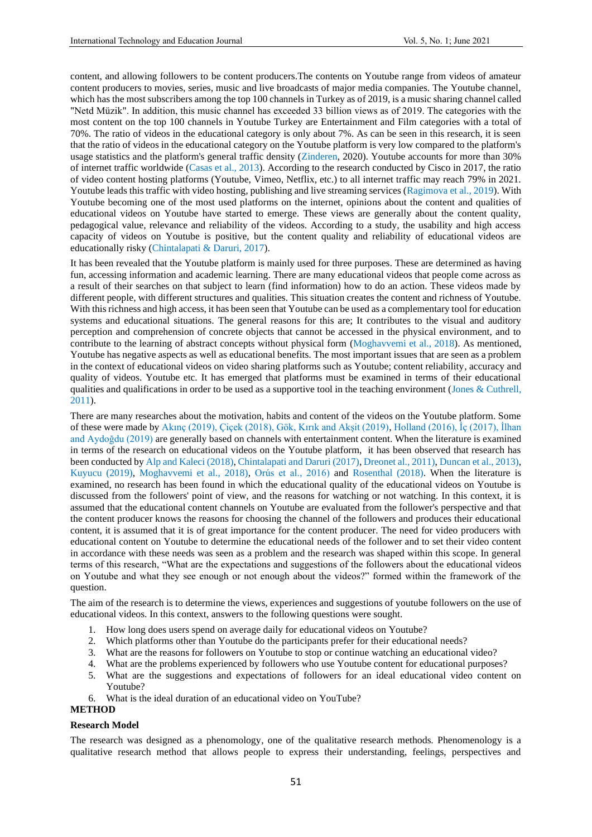content, and allowing followers to be content producers.The contents on Youtube range from videos of amateur content producers to movies, series, music and live broadcasts of major media companies. The Youtube channel, which has the most subscribers among the top 100 channels in Turkey as of 2019, is a music sharing channel called "Netd Müzik". In addition, this music channel has exceeded 33 billion views as of 2019. The categories with the most content on the top 100 channels in Youtube Turkey are Entertainment and Film categories with a total of 70%. The ratio of videos in the educational category is only about 7%. As can be seen in this research, it is seen that the ratio of videos in the educational category on the Youtube platform is very low compared to the platform's usage statistics and the platform's general traffic density (Zinderen, 2020). Youtube accounts for more than 30% of internet traffic worldwide (Casas et al., 2013). According to the research conducted by Cisco in 2017, the ratio of video content hosting platforms (Youtube, Vimeo, Netflix, etc.) to all internet traffic may reach 79% in 2021. Youtube leads this traffic with video hosting, publishing and live streaming services (Ragimova et al., 2019). With Youtube becoming one of the most used platforms on the internet, opinions about the content and qualities of educational videos on Youtube have started to emerge. These views are generally about the content quality, pedagogical value, relevance and reliability of the videos. According to a study, the usability and high access capacity of videos on Youtube is positive, but the content quality and reliability of educational videos are educationally risky (Chintalapati & Daruri, 2017).

It has been revealed that the Youtube platform is mainly used for three purposes. These are determined as having fun, accessing information and academic learning. There are many educational videos that people come across as a result of their searches on that subject to learn (find information) how to do an action. These videos made by different people, with different structures and qualities. This situation creates the content and richness of Youtube. With this richness and high access, it has been seen that Youtube can be used as a complementary tool for education systems and educational situations. The general reasons for this are; It contributes to the visual and auditory perception and comprehension of concrete objects that cannot be accessed in the physical environment, and to contribute to the learning of abstract concepts without physical form (Moghavvemi et al., 2018). As mentioned, Youtube has negative aspects as well as educational benefits. The most important issues that are seen as a problem in the context of educational videos on video sharing platforms such as Youtube; content reliability, accuracy and quality of videos. Youtube etc. It has emerged that platforms must be examined in terms of their educational qualities and qualifications in order to be used as a supportive tool in the teaching environment (Jones & Cuthrell, 2011).

There are many researches about the motivation, habits and content of the videos on the Youtube platform. Some of these were made by Akınç (2019), Çiçek (2018), Gök, Kırık and Akşit (2019), Holland (2016), İç (2017), İlhan and Aydoğdu (2019) are generally based on channels with entertainment content. When the literature is examined in terms of the research on educational videos on the Youtube platform, it has been observed that research has been conducted by Alp and Kaleci (2018), Chintalapati and Daruri (2017), Dreonet al., 2011), Duncan et al., 2013), Kuyucu (2019), Moghavvemi et al., 2018), Orús et al., 2016) and Rosenthal (2018). When the literature is examined, no research has been found in which the educational quality of the educational videos on Youtube is discussed from the followers' point of view, and the reasons for watching or not watching. In this context, it is assumed that the educational content channels on Youtube are evaluated from the follower's perspective and that the content producer knows the reasons for choosing the channel of the followers and produces their educational content, it is assumed that it is of great importance for the content producer. The need for video producers with educational content on Youtube to determine the educational needs of the follower and to set their video content in accordance with these needs was seen as a problem and the research was shaped within this scope. In general terms of this research, "What are the expectations and suggestions of the followers about the educational videos on Youtube and what they see enough or not enough about the videos?" formed within the framework of the question.

The aim of the research is to determine the views, experiences and suggestions of youtube followers on the use of educational videos. In this context, answers to the following questions were sought.

- 1. How long does users spend on average daily for educational videos on Youtube?
- 2. Which platforms other than Youtube do the participants prefer for their educational needs?<br>3. What are the reasons for followers on Youtube to stop or continue watching an educational
- 3. What are the reasons for followers on Youtube to stop or continue watching an educational video?
- 4. What are the problems experienced by followers who use Youtube content for educational purposes?
- 5. What are the suggestions and expectations of followers for an ideal educational video content on Youtube?
- 6. What is the ideal duration of an educational video on YouTube?

### **METHOD**

#### **Research Model**

The research was designed as a phenomology, one of the qualitative research methods. Phenomenology is a qualitative research method that allows people to express their understanding, feelings, perspectives and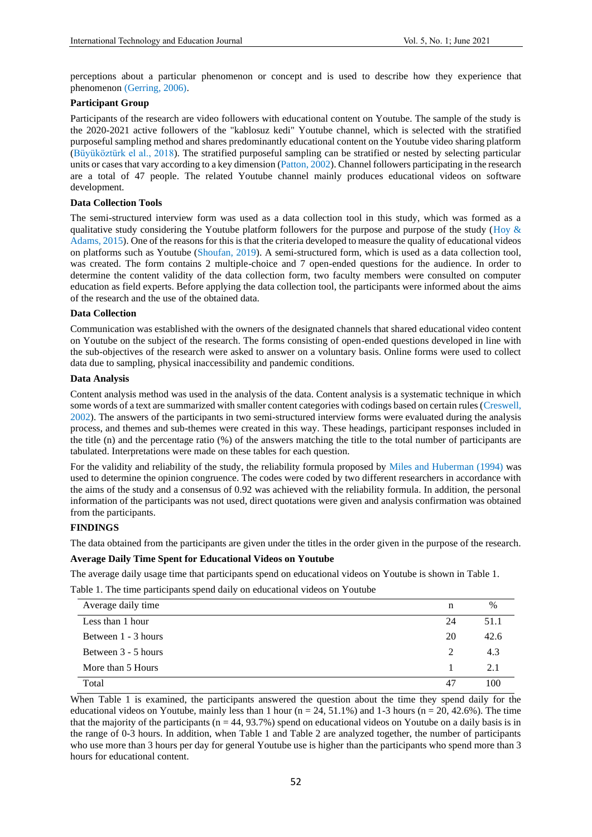perceptions about a particular phenomenon or concept and is used to describe how they experience that phenomenon (Gerring, 2006).

# **Participant Group**

Participants of the research are video followers with educational content on Youtube. The sample of the study is the 2020-2021 active followers of the "kablosuz kedi" Youtube channel, which is selected with the stratified purposeful sampling method and shares predominantly educational content on the Youtube video sharing platform (Büyüköztürk el al., 2018). The stratified purposeful sampling can be stratified or nested by selecting particular units or cases that vary according to a key dimension (Patton, 2002). Channel followers participating in the research are a total of 47 people. The related Youtube channel mainly produces educational videos on software development.

# **Data Collection Tools**

The semi-structured interview form was used as a data collection tool in this study, which was formed as a qualitative study considering the Youtube platform followers for the purpose and purpose of the study (Hoy  $\&$ Adams, 2015). One of the reasons for this is that the criteria developed to measure the quality of educational videos on platforms such as Youtube (Shoufan, 2019). A semi-structured form, which is used as a data collection tool, was created. The form contains 2 multiple-choice and 7 open-ended questions for the audience. In order to determine the content validity of the data collection form, two faculty members were consulted on computer education as field experts. Before applying the data collection tool, the participants were informed about the aims of the research and the use of the obtained data.

## **Data Collection**

Communication was established with the owners of the designated channels that shared educational video content on Youtube on the subject of the research. The forms consisting of open-ended questions developed in line with the sub-objectives of the research were asked to answer on a voluntary basis. Online forms were used to collect data due to sampling, physical inaccessibility and pandemic conditions.

### **Data Analysis**

Content analysis method was used in the analysis of the data. Content analysis is a systematic technique in which some words of a text are summarized with smaller content categories with codings based on certain rules (Creswell, 2002). The answers of the participants in two semi-structured interview forms were evaluated during the analysis process, and themes and sub-themes were created in this way. These headings, participant responses included in the title (n) and the percentage ratio (%) of the answers matching the title to the total number of participants are tabulated. Interpretations were made on these tables for each question.

For the validity and reliability of the study, the reliability formula proposed by Miles and Huberman (1994) was used to determine the opinion congruence. The codes were coded by two different researchers in accordance with the aims of the study and a consensus of 0.92 was achieved with the reliability formula. In addition, the personal information of the participants was not used, direct quotations were given and analysis confirmation was obtained from the participants.

## **FINDINGS**

The data obtained from the participants are given under the titles in the order given in the purpose of the research.

### **Average Daily Time Spent for Educational Videos on Youtube**

The average daily usage time that participants spend on educational videos on Youtube is shown in Table 1.

Table 1. The time participants spend daily on educational videos on Youtube

| Average daily time  | n  | $\%$ |
|---------------------|----|------|
| Less than 1 hour    | 24 | 51.1 |
| Between 1 - 3 hours | 20 | 42.6 |
| Between 3 - 5 hours | 2  | 4.3  |
| More than 5 Hours   |    | 2.1  |
| Total               | 47 | 100  |

When Table 1 is examined, the participants answered the question about the time they spend daily for the educational videos on Youtube, mainly less than 1 hour ( $n = 24, 51.1\%$ ) and 1-3 hours ( $n = 20, 42.6\%$ ). The time that the majority of the participants ( $n = 44, 93.7\%$ ) spend on educational videos on Youtube on a daily basis is in the range of 0-3 hours. In addition, when Table 1 and Table 2 are analyzed together, the number of participants who use more than 3 hours per day for general Youtube use is higher than the participants who spend more than 3 hours for educational content.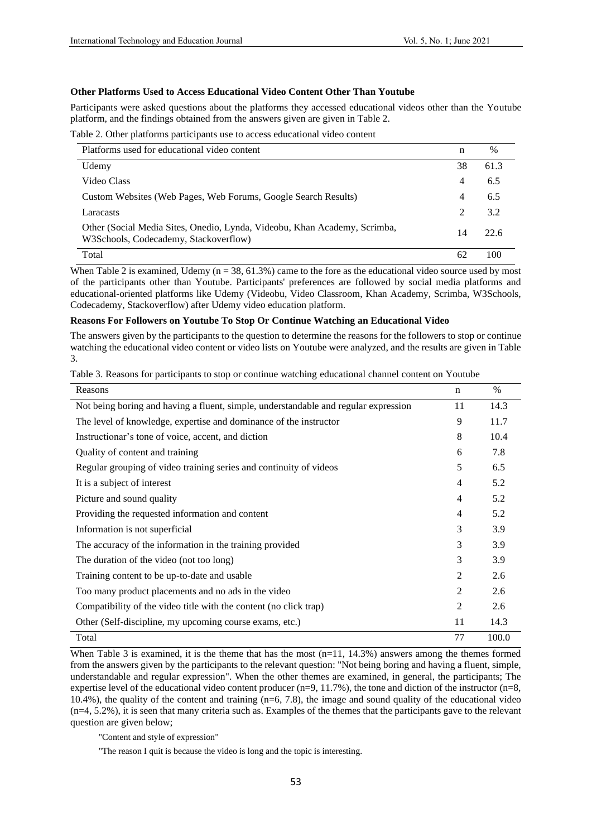# **Other Platforms Used to Access Educational Video Content Other Than Youtube**

Participants were asked questions about the platforms they accessed educational videos other than the Youtube platform, and the findings obtained from the answers given are given in Table 2.

Table 2. Other platforms participants use to access educational video content

| Platforms used for educational video content                                                                       | n  | $\%$ |
|--------------------------------------------------------------------------------------------------------------------|----|------|
| Udemy                                                                                                              | 38 | 61.3 |
| Video Class                                                                                                        | 4  | 6.5  |
| Custom Websites (Web Pages, Web Forums, Google Search Results)                                                     | 4  | 6.5  |
| Laracasts                                                                                                          | 2  | 3.2  |
| Other (Social Media Sites, Onedio, Lynda, Videobu, Khan Academy, Scrimba,<br>W3Schools, Codecademy, Stackoverflow) | 14 | 22.6 |
| Total                                                                                                              | 62 | 100  |

When Table 2 is examined, Udemy ( $n = 38, 61.3\%$ ) came to the fore as the educational video source used by most of the participants other than Youtube. Participants' preferences are followed by social media platforms and educational-oriented platforms like Udemy (Videobu, Video Classroom, Khan Academy, Scrimba, W3Schools, Codecademy, Stackoverflow) after Udemy video education platform.

# **Reasons For Followers on Youtube To Stop Or Continue Watching an Educational Video**

The answers given by the participants to the question to determine the reasons for the followers to stop or continue watching the educational video content or video lists on Youtube were analyzed, and the results are given in Table 3.

Table 3. Reasons for participants to stop or continue watching educational channel content on Youtube

| Reasons                                                                             | n              | $\%$  |
|-------------------------------------------------------------------------------------|----------------|-------|
| Not being boring and having a fluent, simple, understandable and regular expression | 11             | 14.3  |
| The level of knowledge, expertise and dominance of the instructor                   | 9              | 11.7  |
| Instructionar's tone of voice, accent, and diction                                  | 8              | 10.4  |
| Quality of content and training                                                     | 6              | 7.8   |
| Regular grouping of video training series and continuity of videos                  | 5              | 6.5   |
| It is a subject of interest                                                         | $\overline{4}$ | 5.2   |
| Picture and sound quality                                                           | $\overline{4}$ | 5.2   |
| Providing the requested information and content                                     | $\overline{4}$ | 5.2   |
| Information is not superficial                                                      | 3              | 3.9   |
| The accuracy of the information in the training provided                            |                | 3.9   |
| The duration of the video (not too long)                                            |                | 3.9   |
| Training content to be up-to-date and usable                                        |                | 2.6   |
| Too many product placements and no ads in the video                                 | 2              | 2.6   |
| Compatibility of the video title with the content (no click trap)                   | $\overline{2}$ | 2.6   |
| Other (Self-discipline, my upcoming course exams, etc.)                             | 11             | 14.3  |
| Total                                                                               | 77             | 100.0 |

When Table 3 is examined, it is the theme that has the most  $(n=11, 14.3%)$  answers among the themes formed from the answers given by the participants to the relevant question: "Not being boring and having a fluent, simple, understandable and regular expression". When the other themes are examined, in general, the participants; The expertise level of the educational video content producer  $(n=9, 11.7\%)$ , the tone and diction of the instructor  $(n=8, 11.7\%)$ 10.4%), the quality of the content and training  $(n=6, 7.8)$ , the image and sound quality of the educational video (n=4, 5.2%), it is seen that many criteria such as. Examples of the themes that the participants gave to the relevant question are given below;

"Content and style of expression"

"The reason I quit is because the video is long and the topic is interesting.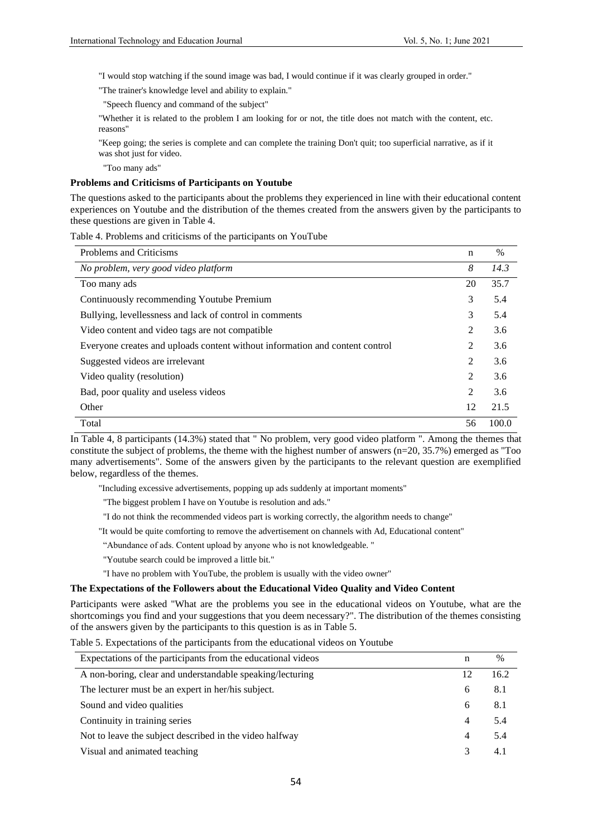"I would stop watching if the sound image was bad, I would continue if it was clearly grouped in order."

"The trainer's knowledge level and ability to explain."

"Speech fluency and command of the subject"

"Whether it is related to the problem I am looking for or not, the title does not match with the content, etc. reasons"

"Keep going; the series is complete and can complete the training Don't quit; too superficial narrative, as if it was shot just for video.

"Too many ads"

# **Problems and Criticisms of Participants on Youtube**

The questions asked to the participants about the problems they experienced in line with their educational content experiences on Youtube and the distribution of the themes created from the answers given by the participants to these questions are given in Table 4.

Table 4. Problems and criticisms of the participants on YouTube

| Problems and Criticisms                                                      | n  | $\%$  |
|------------------------------------------------------------------------------|----|-------|
| No problem, very good video platform                                         | 8  | 14.3  |
| Too many ads                                                                 | 20 | 35.7  |
| Continuously recommending Youtube Premium                                    | 3  | 5.4   |
| Bullying, levellessness and lack of control in comments                      | 3  | 5.4   |
| Video content and video tags are not compatible                              | 2  | 3.6   |
| Everyone creates and uploads content without information and content control | 2  | 3.6   |
| Suggested videos are irrelevant                                              | 2  | 3.6   |
| Video quality (resolution)                                                   | 2  | 3.6   |
| Bad, poor quality and useless videos                                         | 2  | 3.6   |
| Other                                                                        | 12 | 21.5  |
| Total                                                                        | 56 | 100.0 |

In Table 4, 8 participants (14.3%) stated that " No problem, very good video platform ". Among the themes that constitute the subject of problems, the theme with the highest number of answers (n=20, 35.7%) emerged as "Too many advertisements". Some of the answers given by the participants to the relevant question are exemplified below, regardless of the themes.

"Including excessive advertisements, popping up ads suddenly at important moments"

"The biggest problem I have on Youtube is resolution and ads."

"I do not think the recommended videos part is working correctly, the algorithm needs to change"

"It would be quite comforting to remove the advertisement on channels with Ad, Educational content"

"Abundance of ads. Content upload by anyone who is not knowledgeable. "

"Youtube search could be improved a little bit."

"I have no problem with YouTube, the problem is usually with the video owner"

#### **The Expectations of the Followers about the Educational Video Quality and Video Content**

Participants were asked "What are the problems you see in the educational videos on Youtube, what are the shortcomings you find and your suggestions that you deem necessary?". The distribution of the themes consisting of the answers given by the participants to this question is as in Table 5.

Table 5. Expectations of the participants from the educational videos on Youtube

| Expectations of the participants from the educational videos |    | $\frac{0}{0}$ |
|--------------------------------------------------------------|----|---------------|
| A non-boring, clear and understandable speaking/lecturing    | 12 | 16.2          |
| The lecturer must be an expert in her/his subject.           | 6  | 8.1           |
| Sound and video qualities                                    | 6  | 8.1           |
| Continuity in training series                                | 4  | 5.4           |
| Not to leave the subject described in the video halfway      | 4  | 5.4           |
| Visual and animated teaching                                 | 3  | 4.1           |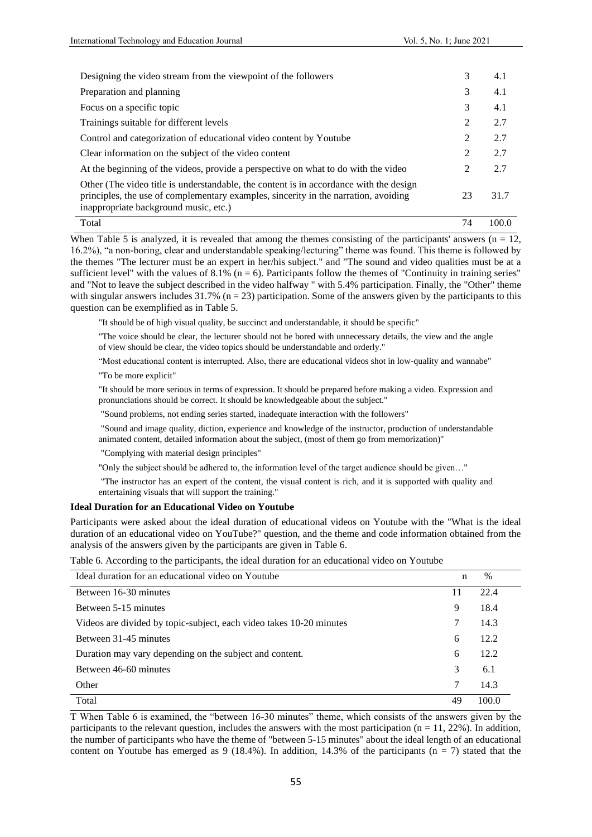| Designing the video stream from the viewpoint of the followers                                                                                                                                                         | 3  | 4.1   |
|------------------------------------------------------------------------------------------------------------------------------------------------------------------------------------------------------------------------|----|-------|
| Preparation and planning                                                                                                                                                                                               | 3  | 4.1   |
| Focus on a specific topic                                                                                                                                                                                              | 3  | 4.1   |
| Trainings suitable for different levels                                                                                                                                                                                | 2  | 2.7   |
| Control and categorization of educational video content by Youtube                                                                                                                                                     | 2  | 2.7   |
| Clear information on the subject of the video content                                                                                                                                                                  | 2  | 2.7   |
| At the beginning of the videos, provide a perspective on what to do with the video                                                                                                                                     | 2  | 2.7   |
| Other (The video title is understandable, the content is in accordance with the design<br>principles, the use of complementary examples, sincerity in the narration, avoiding<br>inappropriate background music, etc.) | 23 | 31.7  |
| Total                                                                                                                                                                                                                  | 74 | 100.0 |

When Table 5 is analyzed, it is revealed that among the themes consisting of the participants' answers ( $n = 12$ , 16.2%), "a non-boring, clear and understandable speaking/lecturing" theme was found. This theme is followed by the themes "The lecturer must be an expert in her/his subject." and "The sound and video qualities must be at a sufficient level" with the values of  $8.1\%$  (n = 6). Participants follow the themes of "Continuity in training series" and "Not to leave the subject described in the video halfway " with 5.4% participation. Finally, the "Other" theme with singular answers includes  $31.7\%$  (n = 23) participation. Some of the answers given by the participants to this question can be exemplified as in Table 5.

"It should be of high visual quality, be succinct and understandable, it should be specific"

"The voice should be clear, the lecturer should not be bored with unnecessary details, the view and the angle of view should be clear, the video topics should be understandable and orderly."

"Most educational content is interrupted. Also, there are educational videos shot in low-quality and wannabe" "To be more explicit"

"It should be more serious in terms of expression. It should be prepared before making a video. Expression and pronunciations should be correct. It should be knowledgeable about the subject."

"Sound problems, not ending series started, inadequate interaction with the followers"

"Sound and image quality, diction, experience and knowledge of the instructor, production of understandable animated content, detailed information about the subject, (most of them go from memorization)"

"Complying with material design principles"

"Only the subject should be adhered to, the information level of the target audience should be given…"

"The instructor has an expert of the content, the visual content is rich, and it is supported with quality and entertaining visuals that will support the training."

### **Ideal Duration for an Educational Video on Youtube**

Participants were asked about the ideal duration of educational videos on Youtube with the "What is the ideal duration of an educational video on YouTube?" question, and the theme and code information obtained from the analysis of the answers given by the participants are given in Table 6.

| Table 6. According to the participants, the ideal duration for an educational video on Youtube |  |  |  |
|------------------------------------------------------------------------------------------------|--|--|--|
|                                                                                                |  |  |  |

| Ideal duration for an educational video on Youtube                  | n  | $\frac{0}{0}$ |
|---------------------------------------------------------------------|----|---------------|
| Between 16-30 minutes                                               | 11 | 22.4          |
| Between 5-15 minutes                                                | 9  | 18.4          |
| Videos are divided by topic-subject, each video takes 10-20 minutes | 7  | 14.3          |
| Between 31-45 minutes                                               | 6  | 12.2.         |
| Duration may vary depending on the subject and content.             | 6  | 12.2.         |
| Between 46-60 minutes                                               | 3  | 6.1           |
| Other                                                               | 7  | 14.3          |
| Total                                                               | 49 | 100.0         |

T When Table 6 is examined, the "between 16-30 minutes" theme, which consists of the answers given by the participants to the relevant question, includes the answers with the most participation ( $n = 11, 22\%$ ). In addition, the number of participants who have the theme of "between 5-15 minutes" about the ideal length of an educational content on Youtube has emerged as 9 (18.4%). In addition, 14.3% of the participants ( $n = 7$ ) stated that the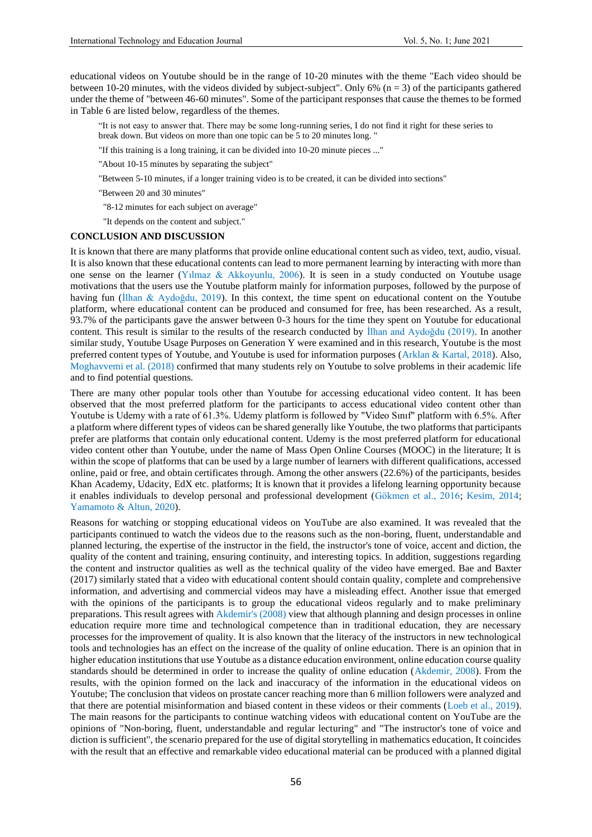educational videos on Youtube should be in the range of 10-20 minutes with the theme "Each video should be between 10-20 minutes, with the videos divided by subject-subject". Only 6%  $(n = 3)$  of the participants gathered under the theme of "between 46-60 minutes". Some of the participant responses that cause the themes to be formed in Table 6 are listed below, regardless of the themes.

"It is not easy to answer that. There may be some long-running series, I do not find it right for these series to break down. But videos on more than one topic can be 5 to 20 minutes long. "

"If this training is a long training, it can be divided into 10-20 minute pieces ..."

"About 10-15 minutes by separating the subject"

"Between 5-10 minutes, if a longer training video is to be created, it can be divided into sections"

"Between 20 and 30 minutes"

"8-12 minutes for each subject on average"

"It depends on the content and subject."

### **CONCLUSION AND DISCUSSION**

It is known that there are many platforms that provide online educational content such as video, text, audio, visual. It is also known that these educational contents can lead to more permanent learning by interacting with more than one sense on the learner (Yılmaz & Akkoyunlu, 2006). It is seen in a study conducted on Youtube usage motivations that the users use the Youtube platform mainly for information purposes, followed by the purpose of having fun (İlhan & Aydoğdu, 2019). In this context, the time spent on educational content on the Youtube platform, where educational content can be produced and consumed for free, has been researched. As a result, 93.7% of the participants gave the answer between 0-3 hours for the time they spent on Youtube for educational content. This result is similar to the results of the research conducted by İlhan and Aydoğdu (2019). In another similar study, Youtube Usage Purposes on Generation Y were examined and in this research, Youtube is the most preferred content types of Youtube, and Youtube is used for information purposes (Arklan & Kartal, 2018). Also, Moghavvemi et al. (2018) confirmed that many students rely on Youtube to solve problems in their academic life and to find potential questions.

There are many other popular tools other than Youtube for accessing educational video content. It has been observed that the most preferred platform for the participants to access educational video content other than Youtube is Udemy with a rate of 61.3%. Udemy platform is followed by "Video Sınıf" platform with 6.5%. After a platform where different types of videos can be shared generally like Youtube, the two platforms that participants prefer are platforms that contain only educational content. Udemy is the most preferred platform for educational video content other than Youtube, under the name of Mass Open Online Courses (MOOC) in the literature; It is within the scope of platforms that can be used by a large number of learners with different qualifications, accessed online, paid or free, and obtain certificates through. Among the other answers (22.6%) of the participants, besides Khan Academy, Udacity, EdX etc. platforms; It is known that it provides a lifelong learning opportunity because it enables individuals to develop personal and professional development (Gökmen et al., 2016; Kesim, 2014; Yamamoto & Altun, 2020).

Reasons for watching or stopping educational videos on YouTube are also examined. It was revealed that the participants continued to watch the videos due to the reasons such as the non-boring, fluent, understandable and planned lecturing, the expertise of the instructor in the field, the instructor's tone of voice, accent and diction, the quality of the content and training, ensuring continuity, and interesting topics. In addition, suggestions regarding the content and instructor qualities as well as the technical quality of the video have emerged. Bae and Baxter (2017) similarly stated that a video with educational content should contain quality, complete and comprehensive information, and advertising and commercial videos may have a misleading effect. Another issue that emerged with the opinions of the participants is to group the educational videos regularly and to make preliminary preparations. This result agrees with Akdemir's (2008) view that although planning and design processes in online education require more time and technological competence than in traditional education, they are necessary processes for the improvement of quality. It is also known that the literacy of the instructors in new technological tools and technologies has an effect on the increase of the quality of online education. There is an opinion that in higher education institutions that use Youtube as a distance education environment, online education course quality standards should be determined in order to increase the quality of online education (Akdemir, 2008). From the results, with the opinion formed on the lack and inaccuracy of the information in the educational videos on Youtube; The conclusion that videos on prostate cancer reaching more than 6 million followers were analyzed and that there are potential misinformation and biased content in these videos or their comments (Loeb et al., 2019). The main reasons for the participants to continue watching videos with educational content on YouTube are the opinions of "Non-boring, fluent, understandable and regular lecturing" and "The instructor's tone of voice and diction is sufficient", the scenario prepared for the use of digital storytelling in mathematics education, It coincides with the result that an effective and remarkable video educational material can be produced with a planned digital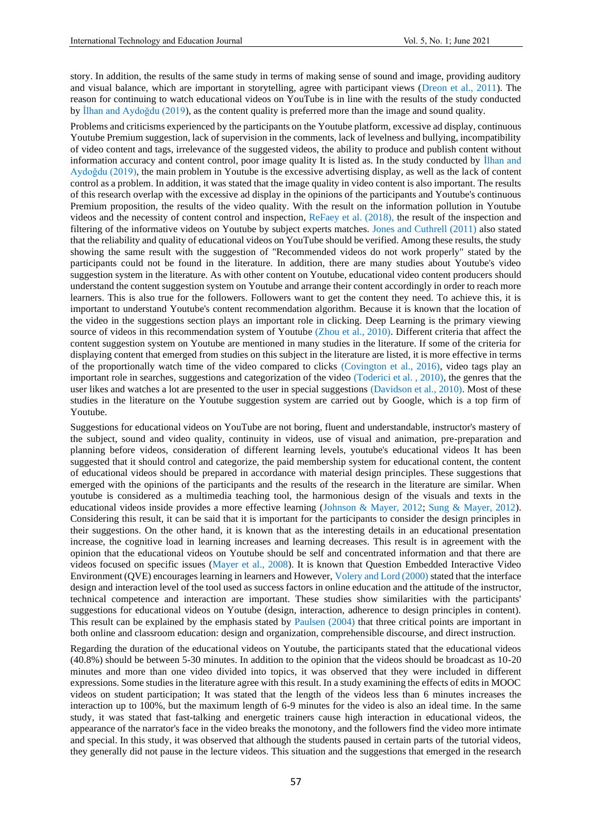story. In addition, the results of the same study in terms of making sense of sound and image, providing auditory and visual balance, which are important in storytelling, agree with participant views (Dreon et al., 2011). The reason for continuing to watch educational videos on YouTube is in line with the results of the study conducted by İlhan and Aydoğdu (2019), as the content quality is preferred more than the image and sound quality.

Problems and criticisms experienced by the participants on the Youtube platform, excessive ad display, continuous Youtube Premium suggestion, lack of supervision in the comments, lack of levelness and bullying, incompatibility of video content and tags, irrelevance of the suggested videos, the ability to produce and publish content without information accuracy and content control, poor image quality It is listed as. In the study conducted by İlhan and Aydoğdu (2019), the main problem in Youtube is the excessive advertising display, as well as the lack of content control as a problem. In addition, it was stated that the image quality in video content is also important. The results of this research overlap with the excessive ad display in the opinions of the participants and Youtube's continuous Premium proposition, the results of the video quality. With the result on the information pollution in Youtube videos and the necessity of content control and inspection, ReFaey et al. (2018), the result of the inspection and filtering of the informative videos on Youtube by subject experts matches. Jones and Cuthrell (2011) also stated that the reliability and quality of educational videos on YouTube should be verified. Among these results, the study showing the same result with the suggestion of "Recommended videos do not work properly" stated by the participants could not be found in the literature. In addition, there are many studies about Youtube's video suggestion system in the literature. As with other content on Youtube, educational video content producers should understand the content suggestion system on Youtube and arrange their content accordingly in order to reach more learners. This is also true for the followers. Followers want to get the content they need. To achieve this, it is important to understand Youtube's content recommendation algorithm. Because it is known that the location of the video in the suggestions section plays an important role in clicking. Deep Learning is the primary viewing source of videos in this recommendation system of Youtube (Zhou et al., 2010). Different criteria that affect the content suggestion system on Youtube are mentioned in many studies in the literature. If some of the criteria for displaying content that emerged from studies on this subject in the literature are listed, it is more effective in terms of the proportionally watch time of the video compared to clicks (Covington et al., 2016), video tags play an important role in searches, suggestions and categorization of the video (Toderici et al. , 2010), the genres that the user likes and watches a lot are presented to the user in special suggestions (Davidson et al., 2010). Most of these studies in the literature on the Youtube suggestion system are carried out by Google, which is a top firm of Youtube.

Suggestions for educational videos on YouTube are not boring, fluent and understandable, instructor's mastery of the subject, sound and video quality, continuity in videos, use of visual and animation, pre-preparation and planning before videos, consideration of different learning levels, youtube's educational videos It has been suggested that it should control and categorize, the paid membership system for educational content, the content of educational videos should be prepared in accordance with material design principles. These suggestions that emerged with the opinions of the participants and the results of the research in the literature are similar. When youtube is considered as a multimedia teaching tool, the harmonious design of the visuals and texts in the educational videos inside provides a more effective learning (Johnson & Mayer, 2012; Sung & Mayer, 2012). Considering this result, it can be said that it is important for the participants to consider the design principles in their suggestions. On the other hand, it is known that as the interesting details in an educational presentation increase, the cognitive load in learning increases and learning decreases. This result is in agreement with the opinion that the educational videos on Youtube should be self and concentrated information and that there are videos focused on specific issues (Mayer et al., 2008). It is known that Question Embedded Interactive Video Environment (QVE) encourages learning in learners and However, Volery and Lord (2000) stated that the interface design and interaction level of the tool used as success factors in online education and the attitude of the instructor, technical competence and interaction are important. These studies show similarities with the participants' suggestions for educational videos on Youtube (design, interaction, adherence to design principles in content). This result can be explained by the emphasis stated by Paulsen (2004) that three critical points are important in both online and classroom education: design and organization, comprehensible discourse, and direct instruction.

Regarding the duration of the educational videos on Youtube, the participants stated that the educational videos (40.8%) should be between 5-30 minutes. In addition to the opinion that the videos should be broadcast as 10-20 minutes and more than one video divided into topics, it was observed that they were included in different expressions. Some studies in the literature agree with this result. In a study examining the effects of edits in MOOC videos on student participation; It was stated that the length of the videos less than 6 minutes increases the interaction up to 100%, but the maximum length of 6-9 minutes for the video is also an ideal time. In the same study, it was stated that fast-talking and energetic trainers cause high interaction in educational videos, the appearance of the narrator's face in the video breaks the monotony, and the followers find the video more intimate and special. In this study, it was observed that although the students paused in certain parts of the tutorial videos, they generally did not pause in the lecture videos. This situation and the suggestions that emerged in the research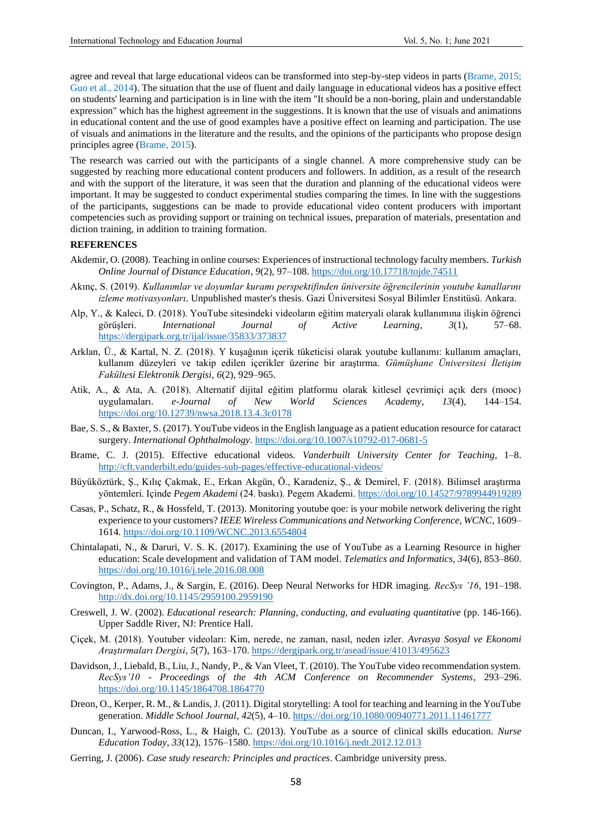agree and reveal that large educational videos can be transformed into step-by-step videos in parts (Brame, 2015; Guo et al., 2014). The situation that the use of fluent and daily language in educational videos has a positive effect on students' learning and participation is in line with the item "It should be a non-boring, plain and understandable expression" which has the highest agreement in the suggestions. It is known that the use of visuals and animations in educational content and the use of good examples have a positive effect on learning and participation. The use of visuals and animations in the literature and the results, and the opinions of the participants who propose design principles agree (Brame, 2015).

The research was carried out with the participants of a single channel. A more comprehensive study can be suggested by reaching more educational content producers and followers. In addition, as a result of the research and with the support of the literature, it was seen that the duration and planning of the educational videos were important. It may be suggested to conduct experimental studies comparing the times. In line with the suggestions of the participants, suggestions can be made to provide educational video content producers with important competencies such as providing support or training on technical issues, preparation of materials, presentation and diction training, in addition to training formation.

# **REFERENCES**

- Akdemir, O. (2008). Teaching in online courses: Experiences of instructional technology faculty members. *Turkish Online Journal of Distance Education*, *9*(2), 97–108[. https://doi.org/10.17718/tojde.74511](https://doi.org/10.17718/tojde.74511)
- Akınç, S. (2019). *Kullanımlar ve doyumlar kuramı perspektifinden üniversite öğrencilerinin youtube kanallarını izleme motivasyonları*. Unpublished master's thesis. Gazi Üniversitesi Sosyal Bilimler Enstitüsü. Ankara.
- Alp, Y., & Kaleci, D. (2018). YouTube sitesindeki videoların eğitim materyali olarak kullanımına ilişkin öğrenci görüşleri. *International Journal of Active Learning*, *3*(1), 57–68. <https://dergipark.org.tr/ijal/issue/35833/373837>
- Arklan, Ü., & Kartal, N. Z. (2018). Y kuşağının içerik tüketicisi olarak youtube kullanımı: kullanım amaçları, kullanım düzeyleri ve takip edilen içerikler üzerine bir araştırma. *Gümüşhane Üniversitesi İletişim Fakültesi Elektronik Dergisi*, *6*(2), 929–965.
- Atik, A., & Ata, A. (2018). Alternatif dijital eğitim platformu olarak kitlesel çevrimiçi açık ders (mooc) uygulamaları. *e-Journal of New World Sciences Academy*, *13*(4), 144–154. <https://doi.org/10.12739/nwsa.2018.13.4.3c0178>
- Bae, S. S., & Baxter, S. (2017). YouTube videos in the English language as a patient education resource for cataract surgery. *International Ophthalmology*[. https://doi.org/10.1007/s10792-017-0681-5](https://doi.org/10.1007/s10792-017-0681-5)
- Brame, C. J. (2015). Effective educational videos. *Vanderbuilt University Center for Teaching*, 1–8. <http://cft.vanderbilt.edu/guides-sub-pages/effective-educational-videos/>
- Büyüköztürk, Ş., Kılıç Çakmak, E., Erkan Akgün, Ö., Karadeniz, Ş., & Demirel, F. (2018). Bilimsel araştırma yöntemleri. Içinde *Pegem Akademi* (24. baskı). Pegem Akademi.<https://doi.org/10.14527/9789944919289>
- Casas, P., Schatz, R., & Hossfeld, T. (2013). Monitoring youtube qoe: is your mobile network delivering the right experience to your customers? *IEEE Wireless Communications and Networking Conference, WCNC*, 1609– 1614.<https://doi.org/10.1109/WCNC.2013.6554804>
- Chintalapati, N., & Daruri, V. S. K. (2017). Examining the use of YouTube as a Learning Resource in higher education: Scale development and validation of TAM model. *Telematics and Informatics*, *34*(6), 853–860. <https://doi.org/10.1016/j.tele.2016.08.008>
- Covington, P., Adams, J., & Sargin, E. (2016). Deep Neural Networks for HDR imaging. *RecSys '16*, 191–198. <http://dx.doi.org/10.1145/2959100.2959190>
- Creswell, J. W. (2002). *Educational research: Planning, conducting, and evaluating quantitative* (pp. 146-166). Upper Saddle River, NJ: Prentice Hall.
- Çiçek, M. (2018). Youtuber videoları: Kim, nerede, ne zaman, nasıl, neden izler. *Avrasya Sosyal ve Ekonomi Araştırmaları Dergisi*, *5*(7), 163–170.<https://dergipark.org.tr/asead/issue/41013/495623>
- Davidson, J., Liebald, B., Liu, J., Nandy, P., & Van Vleet, T. (2010). The YouTube video recommendation system. *RecSys'10 - Proceedings of the 4th ACM Conference on Recommender Systems*, 293–296. <https://doi.org/10.1145/1864708.1864770>
- Dreon, O., Kerper, R. M., & Landis, J. (2011). Digital storytelling: A tool for teaching and learning in the YouTube generation. *Middle School Journal*, *42*(5), 4–10[. https://doi.org/10.1080/00940771.2011.11461777](https://doi.org/10.1080/00940771.2011.11461777)
- Duncan, I., Yarwood-Ross, L., & Haigh, C. (2013). YouTube as a source of clinical skills education. *Nurse Education Today*, *33*(12), 1576–1580.<https://doi.org/10.1016/j.nedt.2012.12.013>
- Gerring, J. (2006). *Case study research: Principles and practices*. Cambridge university press.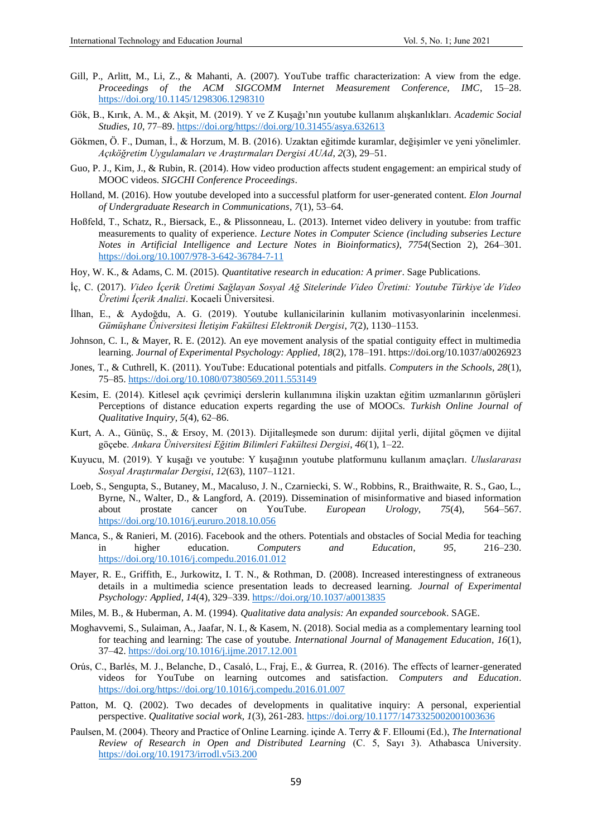- Gill, P., Arlitt, M., Li, Z., & Mahanti, A. (2007). YouTube traffic characterization: A view from the edge. *Proceedings of the ACM SIGCOMM Internet Measurement Conference, IMC*, 15–28. <https://doi.org/10.1145/1298306.1298310>
- Gök, B., Kırık, A. M., & Akşit, M. (2019). Y ve Z Kuşağı'nın youtube kullanım alışkanlıkları. *Academic Social Studies*, *10*, 77–89. [https://doi.org/https://doi.org/10.31455/asya.632613](https://doi.org/https:/doi.org/10.31455/asya.632613)
- Gökmen, Ö. F., Duman, İ., & Horzum, M. B. (2016). Uzaktan eğitimde kuramlar, değişimler ve yeni yönelimler. *Açıköğretim Uygulamaları ve Araştırmaları Dergisi AUAd*, *2*(3), 29–51.
- Guo, P. J., Kim, J., & Rubin, R. (2014). How video production affects student engagement: an empirical study of MOOC videos. *SIGCHI Conference Proceedings*.
- Holland, M. (2016). How youtube developed into a successful platform for user-generated content. *Elon Journal of Undergraduate Research in Communications*, *7*(1), 53–64.
- Hoßfeld, T., Schatz, R., Biersack, E., & Plissonneau, L. (2013). Internet video delivery in youtube: from traffic measurements to quality of experience. *Lecture Notes in Computer Science (including subseries Lecture Notes in Artificial Intelligence and Lecture Notes in Bioinformatics)*, *7754*(Section 2), 264–301. <https://doi.org/10.1007/978-3-642-36784-7-11>
- Hoy, W. K., & Adams, C. M. (2015). *Quantitative research in education: A primer*. Sage Publications.
- İç, C. (2017). *Video İçerik Üretimi Sağlayan Sosyal Ağ Sitelerinde Video Üretimi: Youtube Türkiye'de Video Üretimi İçerik Analizi*. Kocaeli Üniversitesi.
- İlhan, E., & Aydoğdu, A. G. (2019). Youtube kullanicilarinin kullanim motivasyonlarinin incelenmesi. *Gümüşhane Üniversitesi İletişim Fakültesi Elektronik Dergisi*, *7*(2), 1130–1153.
- Johnson, C. I., & Mayer, R. E. (2012). An eye movement analysis of the spatial contiguity effect in multimedia learning. *Journal of Experimental Psychology: Applied*, *18*(2), 178–191. https://doi.org/10.1037/a0026923
- Jones, T., & Cuthrell, K. (2011). YouTube: Educational potentials and pitfalls. *Computers in the Schools*, *28*(1), 75–85.<https://doi.org/10.1080/07380569.2011.553149>
- Kesim, E. (2014). Kitlesel açık çevrimiçi derslerin kullanımına ilişkin uzaktan eğitim uzmanlarının görüşleri Perceptions of distance education experts regarding the use of MOOCs. *Turkish Online Journal of Qualitative Inquiry*, *5*(4), 62–86.
- Kurt, A. A., Günüç, S., & Ersoy, M. (2013). Dijitalleşmede son durum: dijital yerli, dijital göçmen ve dijital göçebe. *Ankara Üniversitesi Eğitim Bilimleri Fakültesi Dergisi*, *46*(1), 1–22.
- Kuyucu, M. (2019). Y kuşağı ve youtube: Y kuşağının youtube platformunu kullanım amaçları. *Uluslararası Sosyal Araştırmalar Dergisi*, *12*(63), 1107–1121.
- Loeb, S., Sengupta, S., Butaney, M., Macaluso, J. N., Czarniecki, S. W., Robbins, R., Braithwaite, R. S., Gao, L., Byrne, N., Walter, D., & Langford, A. (2019). Dissemination of misinformative and biased information about prostate cancer on YouTube. *European Urology*, *75*(4), 564–567. <https://doi.org/10.1016/j.eururo.2018.10.056>
- Manca, S., & Ranieri, M. (2016). Facebook and the others. Potentials and obstacles of Social Media for teaching in higher education. *Computers and Education*, *95*, 216–230. <https://doi.org/10.1016/j.compedu.2016.01.012>
- Mayer, R. E., Griffith, E., Jurkowitz, I. T. N., & Rothman, D. (2008). Increased interestingness of extraneous details in a multimedia science presentation leads to decreased learning. *Journal of Experimental Psychology: Applied*, *14*(4), 329–339.<https://doi.org/10.1037/a0013835>
- Miles, M. B., & Huberman, A. M. (1994). *Qualitative data analysis: An expanded sourcebook*. SAGE.
- Moghavvemi, S., Sulaiman, A., Jaafar, N. I., & Kasem, N. (2018). Social media as a complementary learning tool for teaching and learning: The case of youtube. *International Journal of Management Education*, *16*(1), 37–42.<https://doi.org/10.1016/j.ijme.2017.12.001>
- Orús, C., Barlés, M. J., Belanche, D., Casaló, L., Fraj, E., & Gurrea, R. (2016). The effects of learner-generated videos for YouTube on learning outcomes and satisfaction. *Computers and Education*. [https://doi.org/https://doi.org/10.1016/j.compedu.2016.01.007](https://doi.org/https:/doi.org/10.1016/j.compedu.2016.01.007)
- Patton, M. Q. (2002). Two decades of developments in qualitative inquiry: A personal, experiential perspective. *Qualitative social work*, *1*(3), 261-283. [https://doi.org/10.1177/1473325002001003636](https://doi.org/10.19173/irrodl.v5i3.200)
- Paulsen, M. (2004). Theory and Practice of Online Learning. içinde A. Terry & F. Elloumi (Ed.), *The International Review of Research in Open and Distributed Learning* (C. 5, Sayı 3). Athabasca University. <https://doi.org/10.19173/irrodl.v5i3.200>